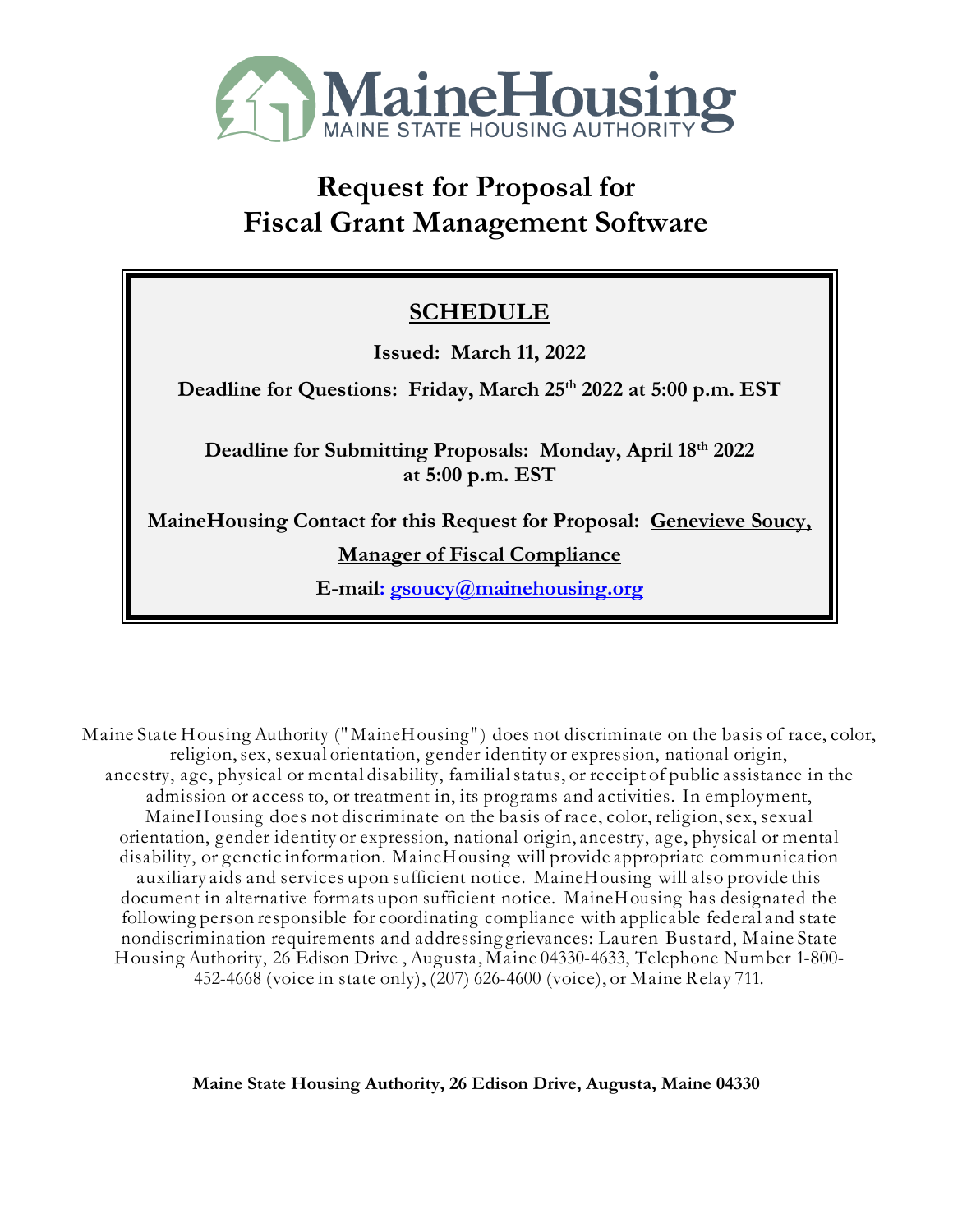

# **Request for Proposal for Fiscal Grant Management Software**

# **SCHEDULE**

**Issued: March 11, 2022**

**Deadline for Questions: Friday, March 25th 2022 at 5:00 p.m. EST** 

**Deadline for Submitting Proposals: Monday, April 18th 2022 at 5:00 p.m. EST**

**MaineHousing Contact for this Request for Proposal: Genevieve Soucy,** 

**Manager of Fiscal Compliance**

**E-mai[l:](mailto:pweber@mainehousing.org) [gsoucy@mainehousing.org](mailto:gsoucy@mainehousing.org)**

Maine State Housing Authority ("MaineHousing") does not discriminate on the basis of race, color, religion,sex, sexual orientation, gender identity or expression, national origin, ancestry, age, physical or mental disability, familialstatus, or receipt of public assistance in the admission or access to, or treatment in, its programs and activities. In employment, MaineHousing does not discriminate on the basis of race, color, religion,sex, sexual orientation, gender identity or expression, national origin, ancestry, age, physical or mental disability, or genetic information. MaineHousing will provide appropriate communication auxiliary aids and services upon sufficient notice. MaineHousing will also provide this document in alternative formats upon sufficient notice. MaineHousing has designated the following person responsible for coordinating compliance with applicable federal and state nondiscrimination requirements and addressing grievances: Lauren Bustard, Maine State Housing Authority, 26 Edison Drive , Augusta, Maine 04330-4633, Telephone Number 1-800- 452-4668 (voice in state only), (207) 626-4600 (voice), or Maine Relay 711.

**Maine State Housing Authority, 26 Edison Drive, Augusta, Maine 04330**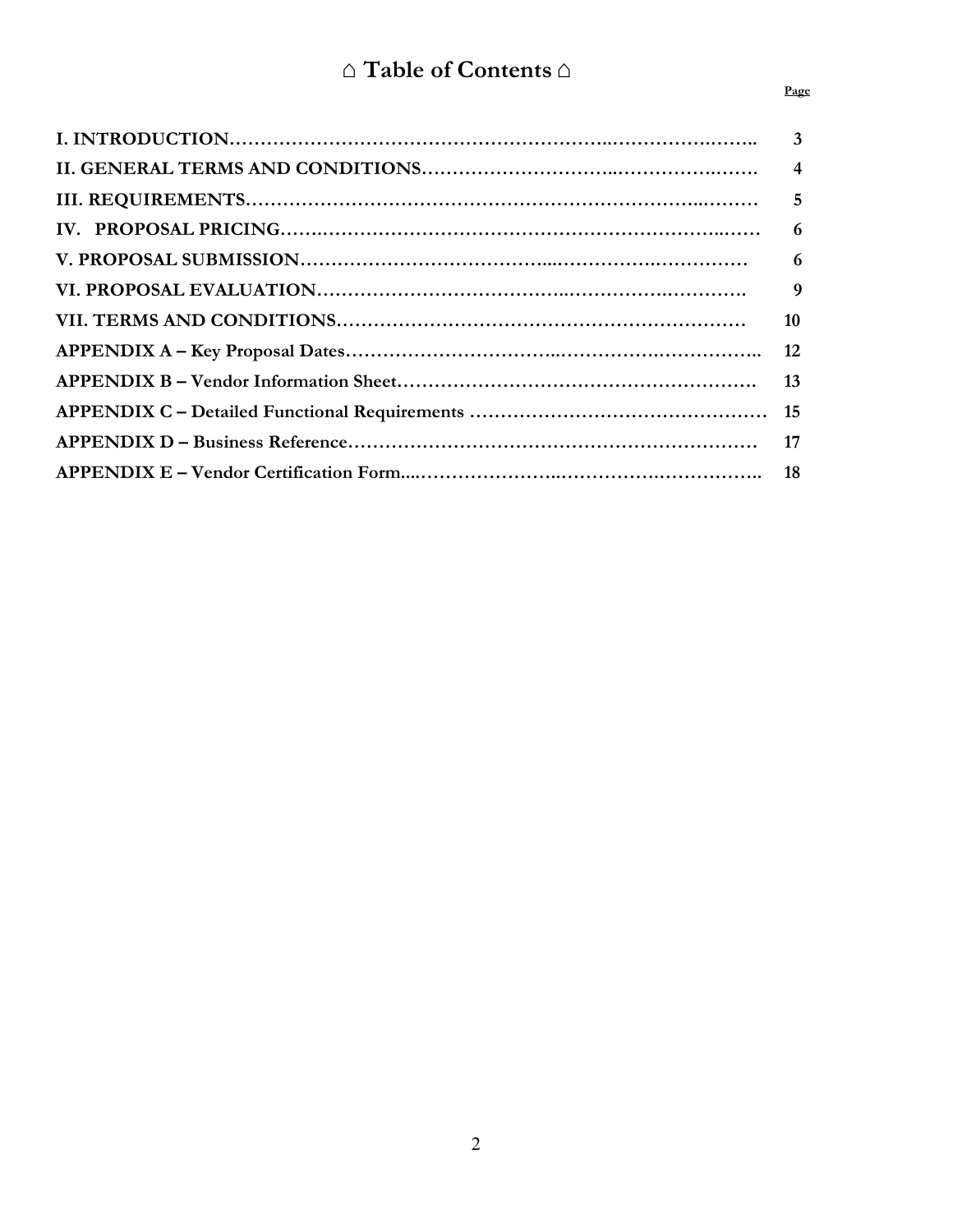| 10 |
|----|
|    |
|    |
|    |
|    |
|    |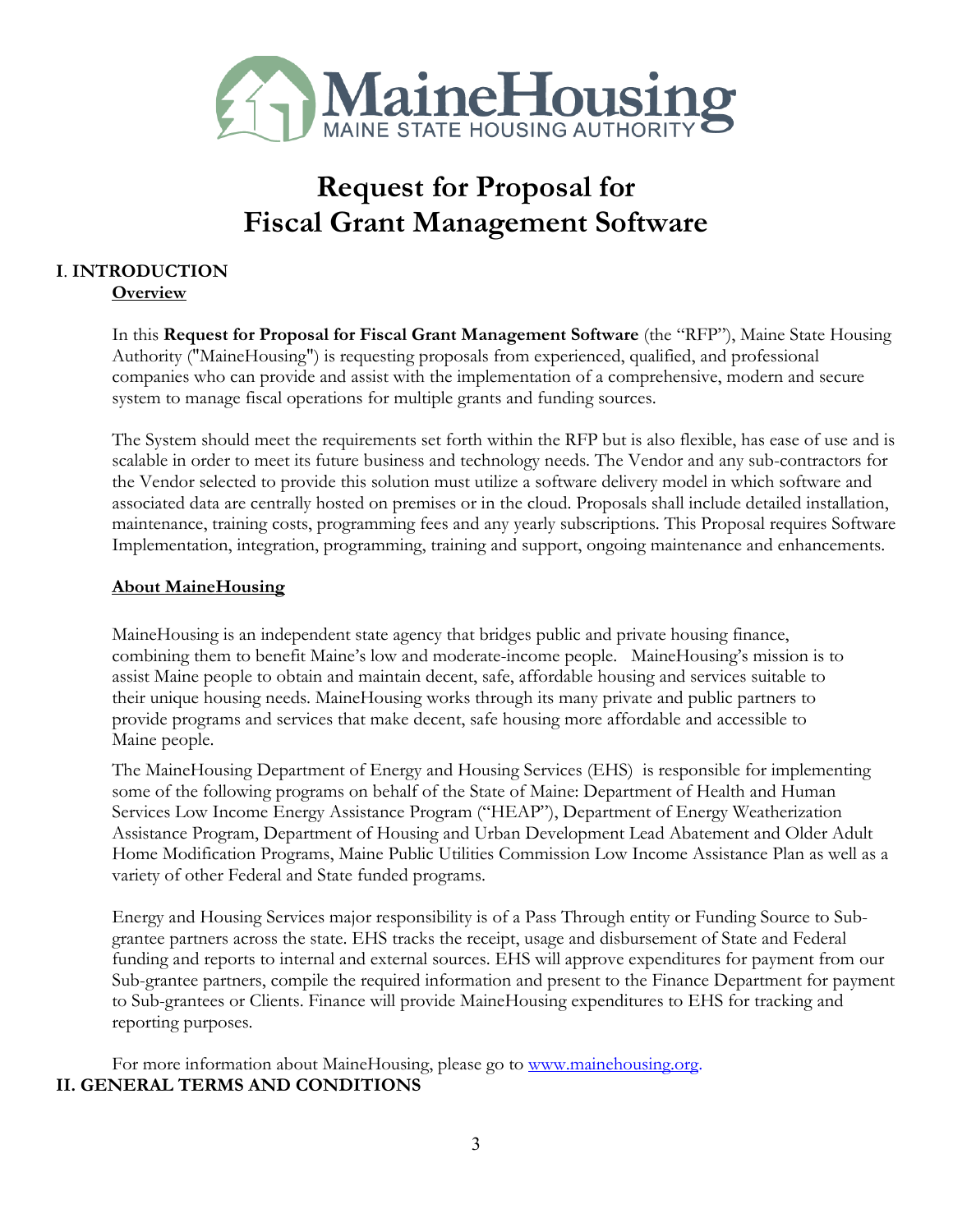

# **Request for Proposal for Fiscal Grant Management Software**

# **I**. **INTRODUCTION Overview**

In this **Request for Proposal for Fiscal Grant Management Software** (the "RFP"), Maine State Housing Authority ("MaineHousing") is requesting proposals from experienced, qualified, and professional companies who can provide and assist with the implementation of a comprehensive, modern and secure system to manage fiscal operations for multiple grants and funding sources.

The System should meet the requirements set forth within the RFP but is also flexible, has ease of use and is scalable in order to meet its future business and technology needs. The Vendor and any sub-contractors for the Vendor selected to provide this solution must utilize a software delivery model in which software and associated data are centrally hosted on premises or in the cloud. Proposals shall include detailed installation, maintenance, training costs, programming fees and any yearly subscriptions. This Proposal requires Software Implementation, integration, programming, training and support, ongoing maintenance and enhancements.

# **About MaineHousing**

MaineHousing is an independent state agency that bridges public and private housing finance, combining them to benefit Maine's low and moderate-income people. MaineHousing's mission is to assist Maine people to obtain and maintain decent, safe, affordable housing and services suitable to their unique housing needs. MaineHousing works through its many private and public partners to provide programs and services that make decent, safe housing more affordable and accessible to Maine people.

The MaineHousing Department of Energy and Housing Services (EHS) is responsible for implementing some of the following programs on behalf of the State of Maine: Department of Health and Human Services Low Income Energy Assistance Program ("HEAP"), Department of Energy Weatherization Assistance Program, Department of Housing and Urban Development Lead Abatement and Older Adult Home Modification Programs, Maine Public Utilities Commission Low Income Assistance Plan as well as a variety of other Federal and State funded programs.

Energy and Housing Services major responsibility is of a Pass Through entity or Funding Source to Subgrantee partners across the state. EHS tracks the receipt, usage and disbursement of State and Federal funding and reports to internal and external sources. EHS will approve expenditures for payment from our Sub-grantee partners, compile the required information and present to the Finance Department for payment to Sub-grantees or Clients. Finance will provide MaineHousing expenditures to EHS for tracking and reporting purposes.

For more information about MaineHousing, please go to [www.mainehousing.org.](http://www.mainehousing.org/) **II. GENERAL TERMS AND CONDITIONS**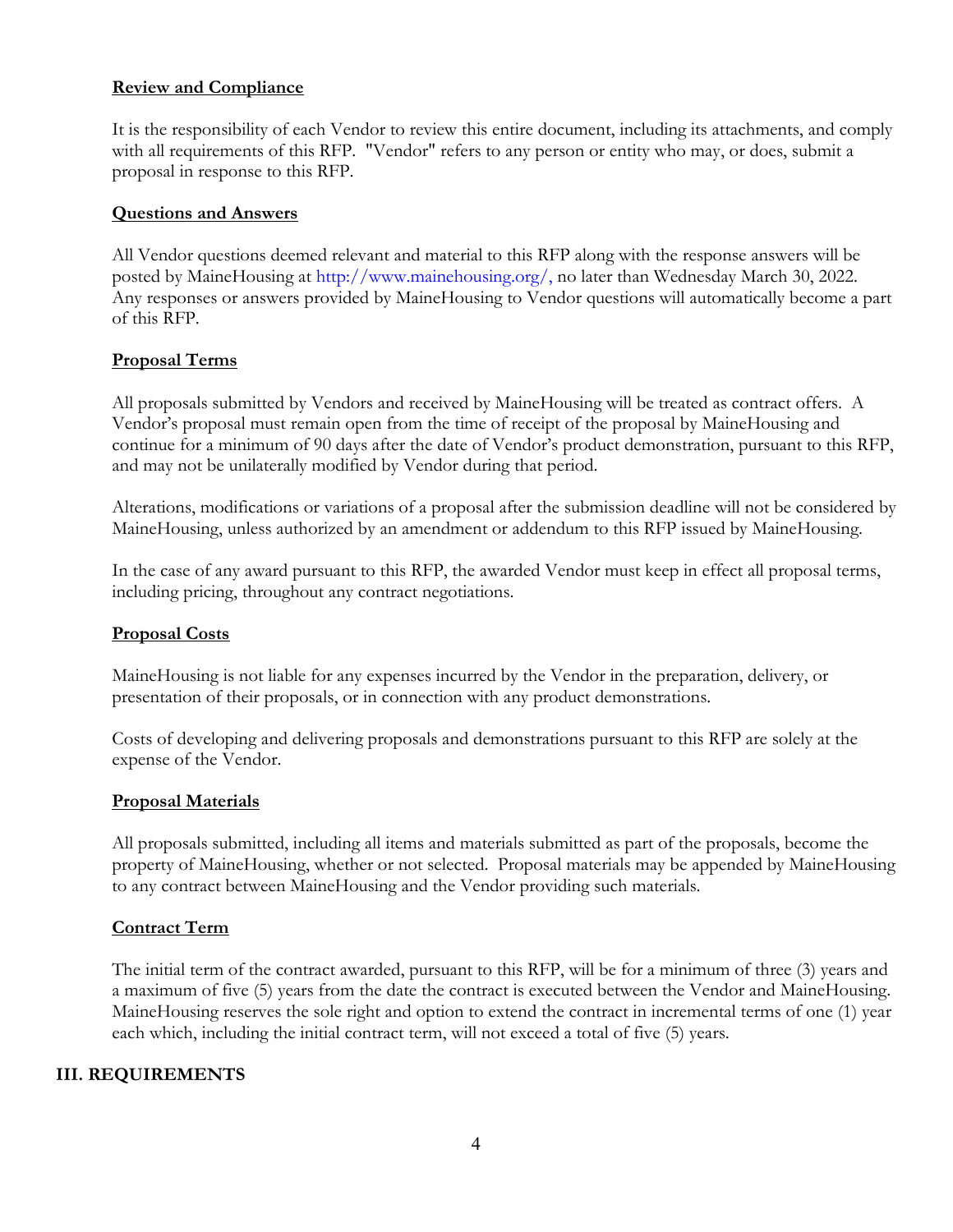### **Review and Compliance**

It is the responsibility of each Vendor to review this entire document, including its attachments, and comply with all requirements of this RFP. "Vendor" refers to any person or entity who may, or does, submit a proposal in response to this RFP.

#### **Questions and Answers**

All Vendor questions deemed relevant and material to this RFP along with the response answers will be posted by MaineHousing at http://www.mainehousing.org/, no later than Wednesday March 30, 2022. Any responses or answers provided by MaineHousing to Vendor questions will automatically become a part of this RFP.

#### **Proposal Terms**

All proposals submitted by Vendors and received by MaineHousing will be treated as contract offers. A Vendor's proposal must remain open from the time of receipt of the proposal by MaineHousing and continue for a minimum of 90 days after the date of Vendor's product demonstration, pursuant to this RFP, and may not be unilaterally modified by Vendor during that period.

Alterations, modifications or variations of a proposal after the submission deadline will not be considered by MaineHousing, unless authorized by an amendment or addendum to this RFP issued by MaineHousing.

In the case of any award pursuant to this RFP, the awarded Vendor must keep in effect all proposal terms, including pricing, throughout any contract negotiations.

### **Proposal Costs**

MaineHousing is not liable for any expenses incurred by the Vendor in the preparation, delivery, or presentation of their proposals, or in connection with any product demonstrations.

Costs of developing and delivering proposals and demonstrations pursuant to this RFP are solely at the expense of the Vendor.

#### **Proposal Materials**

All proposals submitted, including all items and materials submitted as part of the proposals, become the property of MaineHousing, whether or not selected. Proposal materials may be appended by MaineHousing to any contract between MaineHousing and the Vendor providing such materials.

#### **Contract Term**

The initial term of the contract awarded, pursuant to this RFP, will be for a minimum of three (3) years and a maximum of five (5) years from the date the contract is executed between the Vendor and MaineHousing. MaineHousing reserves the sole right and option to extend the contract in incremental terms of one (1) year each which, including the initial contract term, will not exceed a total of five (5) years.

### **III. REQUIREMENTS**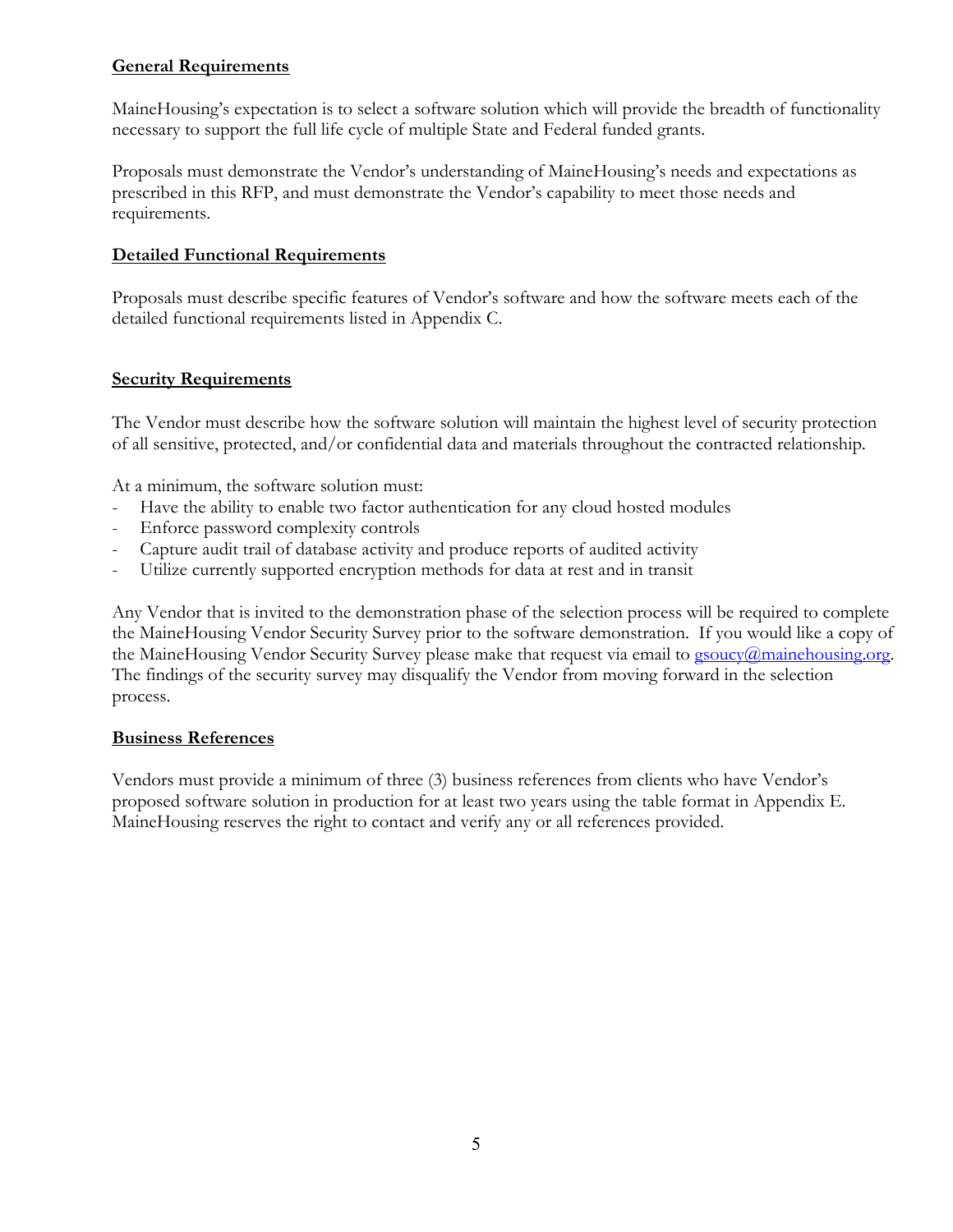# **General Requirements**

MaineHousing's expectation is to select a software solution which will provide the breadth of functionality necessary to support the full life cycle of multiple State and Federal funded grants.

Proposals must demonstrate the Vendor's understanding of MaineHousing's needs and expectations as prescribed in this RFP, and must demonstrate the Vendor's capability to meet those needs and requirements.

# **Detailed Functional Requirements**

Proposals must describe specific features of Vendor's software and how the software meets each of the detailed functional requirements listed in Appendix C.

# **Security Requirements**

The Vendor must describe how the software solution will maintain the highest level of security protection of all sensitive, protected, and/or confidential data and materials throughout the contracted relationship.

At a minimum, the software solution must:

- Have the ability to enable two factor authentication for any cloud hosted modules
- Enforce password complexity controls
- Capture audit trail of database activity and produce reports of audited activity
- Utilize currently supported encryption methods for data at rest and in transit

Any Vendor that is invited to the demonstration phase of the selection process will be required to complete the MaineHousing Vendor Security Survey prior to the software demonstration. If you would like a copy of the MaineHousing Vendor Security Survey please make that request via email to [gsoucy@mainehousing.org.](mailto:gsoucy@mainehousing.org) The findings of the security survey may disqualify the Vendor from moving forward in the selection process.

### **Business References**

Vendors must provide a minimum of three (3) business references from clients who have Vendor's proposed software solution in production for at least two years using the table format in Appendix E. MaineHousing reserves the right to contact and verify any or all references provided.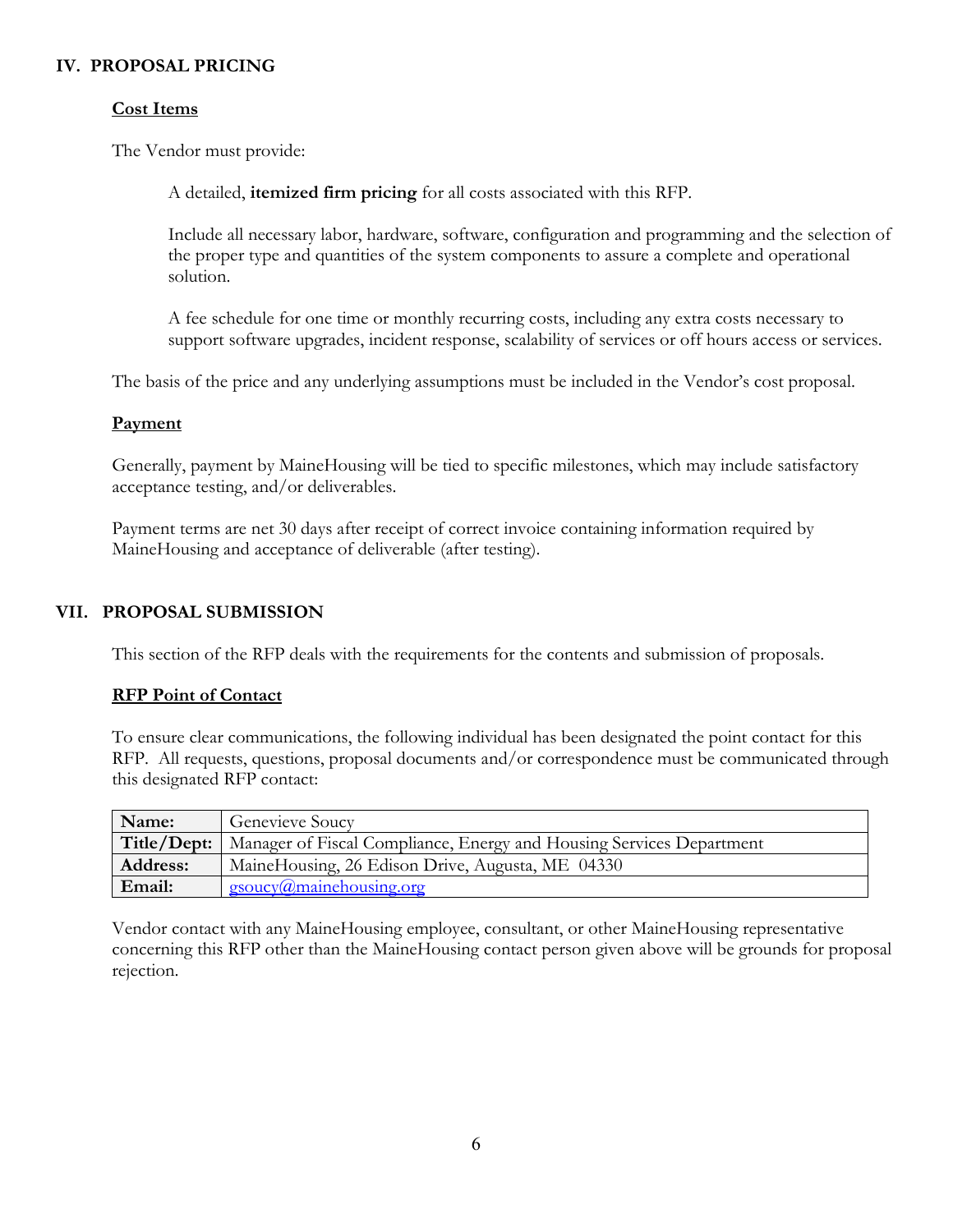# **IV. PROPOSAL PRICING**

# **Cost Items**

The Vendor must provide:

A detailed, **itemized firm pricing** for all costs associated with this RFP.

Include all necessary labor, hardware, software, configuration and programming and the selection of the proper type and quantities of the system components to assure a complete and operational solution.

A fee schedule for one time or monthly recurring costs, including any extra costs necessary to support software upgrades, incident response, scalability of services or off hours access or services.

The basis of the price and any underlying assumptions must be included in the Vendor's cost proposal.

# **Payment**

Generally, payment by MaineHousing will be tied to specific milestones, which may include satisfactory acceptance testing, and/or deliverables.

Payment terms are net 30 days after receipt of correct invoice containing information required by MaineHousing and acceptance of deliverable (after testing).

# **VII. PROPOSAL SUBMISSION**

This section of the RFP deals with the requirements for the contents and submission of proposals.

### **RFP Point of Contact**

To ensure clear communications, the following individual has been designated the point contact for this RFP. All requests, questions, proposal documents and/or correspondence must be communicated through this designated RFP contact:

| Name:           | <b>Genevieve Soucy</b>                                                             |
|-----------------|------------------------------------------------------------------------------------|
|                 | Title/Dept:   Manager of Fiscal Compliance, Energy and Housing Services Department |
| <b>Address:</b> | MaineHousing, 26 Edison Drive, Augusta, ME 04330                                   |
| Email:          | $\text{g} \text{s} \text{oucy}(\hat{\boldsymbol{a}})$ maine housing org            |

Vendor contact with any MaineHousing employee, consultant, or other MaineHousing representative concerning this RFP other than the MaineHousing contact person given above will be grounds for proposal rejection.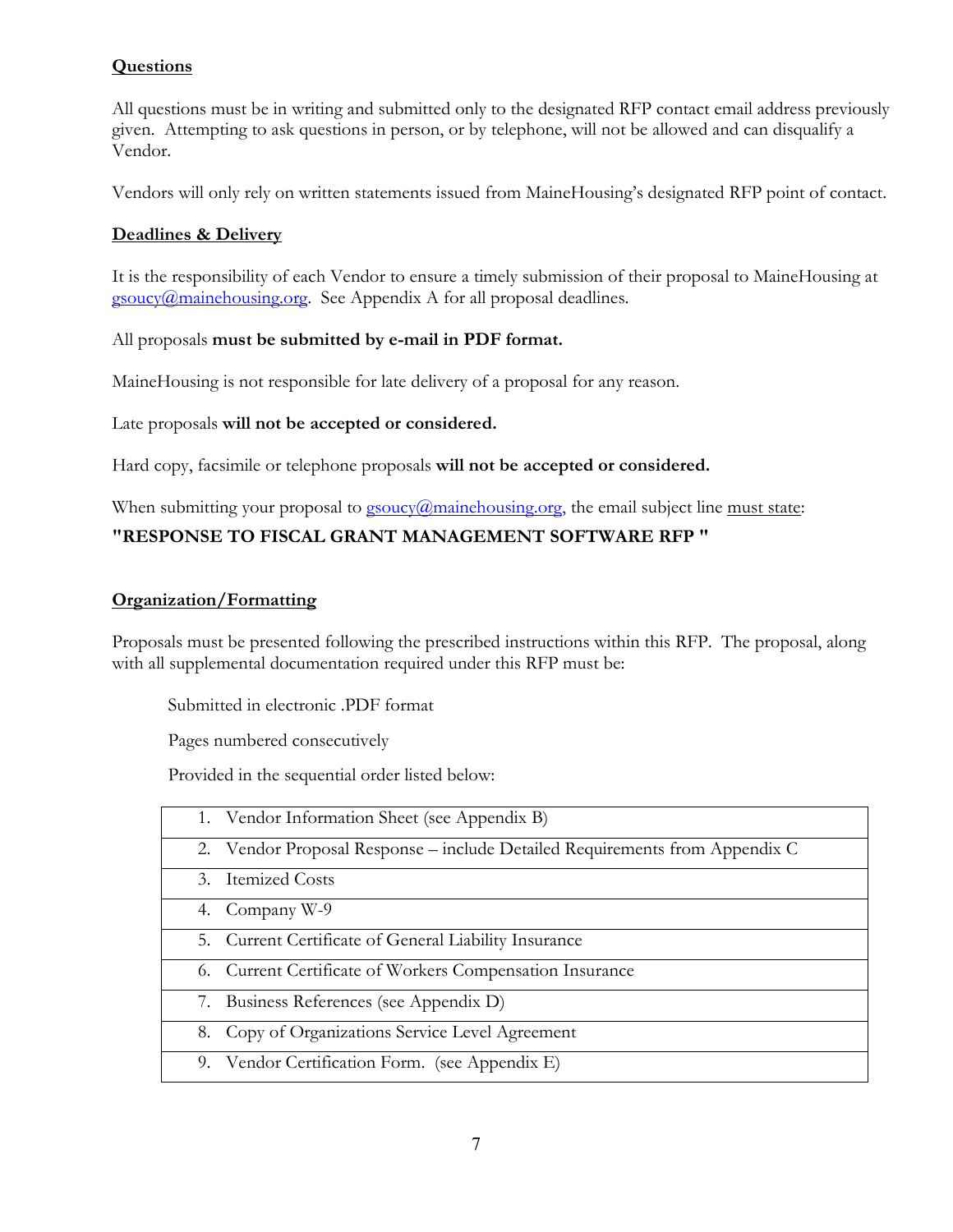# **Questions**

All questions must be in writing and submitted only to the designated RFP contact email address previously given. Attempting to ask questions in person, or by telephone, will not be allowed and can disqualify a Vendor.

Vendors will only rely on written statements issued from MaineHousing's designated RFP point of contact.

# **Deadlines & Delivery**

It is the responsibility of each Vendor to ensure a timely submission of their proposal to MaineHousing at  $g_{\text{source}}(\hat{\omega}$  mainehousing.org. See Appendix A for all proposal deadlines.

### All proposals **must be submitted by e-mail in PDF format.**

MaineHousing is not responsible for late delivery of a proposal for any reason.

Late proposals **will not be accepted or considered.**

Hard copy, facsimile or telephone proposals **will not be accepted or considered.**

# When submitting your proposal to  $g_{\text{source}}(a)$  mainehousing.org, the email subject line must state: **"RESPONSE TO FISCAL GRANT MANAGEMENT SOFTWARE RFP "**

### **Organization/Formatting**

Proposals must be presented following the prescribed instructions within this RFP. The proposal, along with all supplemental documentation required under this RFP must be:

Submitted in electronic .PDF format

Pages numbered consecutively

Provided in the sequential order listed below:

| 1. Vendor Information Sheet (see Appendix B)   |                                                                             |
|------------------------------------------------|-----------------------------------------------------------------------------|
|                                                | 2. Vendor Proposal Response – include Detailed Requirements from Appendix C |
| 3. Itemized Costs                              |                                                                             |
| 4. Company W-9                                 |                                                                             |
|                                                | 5. Current Certificate of General Liability Insurance                       |
|                                                | 6. Current Certificate of Workers Compensation Insurance                    |
| 7. Business References (see Appendix D)        |                                                                             |
|                                                | 8. Copy of Organizations Service Level Agreement                            |
| 9. Vendor Certification Form. (see Appendix E) |                                                                             |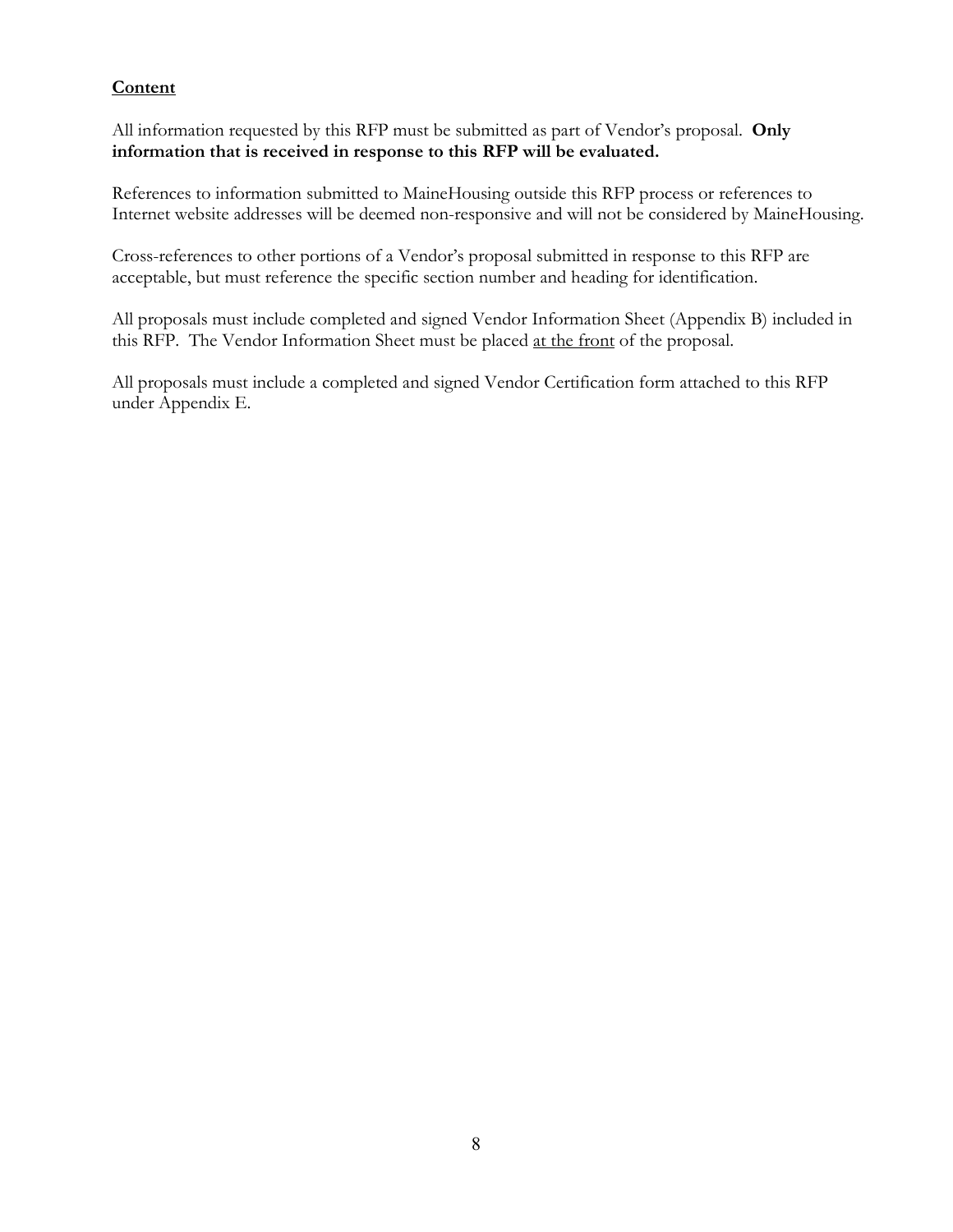# **Content**

All information requested by this RFP must be submitted as part of Vendor's proposal. **Only information that is received in response to this RFP will be evaluated.** 

References to information submitted to MaineHousing outside this RFP process or references to Internet website addresses will be deemed non-responsive and will not be considered by MaineHousing.

Cross-references to other portions of a Vendor's proposal submitted in response to this RFP are acceptable, but must reference the specific section number and heading for identification.

All proposals must include completed and signed Vendor Information Sheet (Appendix B) included in this RFP. The Vendor Information Sheet must be placed at the front of the proposal.

All proposals must include a completed and signed Vendor Certification form attached to this RFP under Appendix E.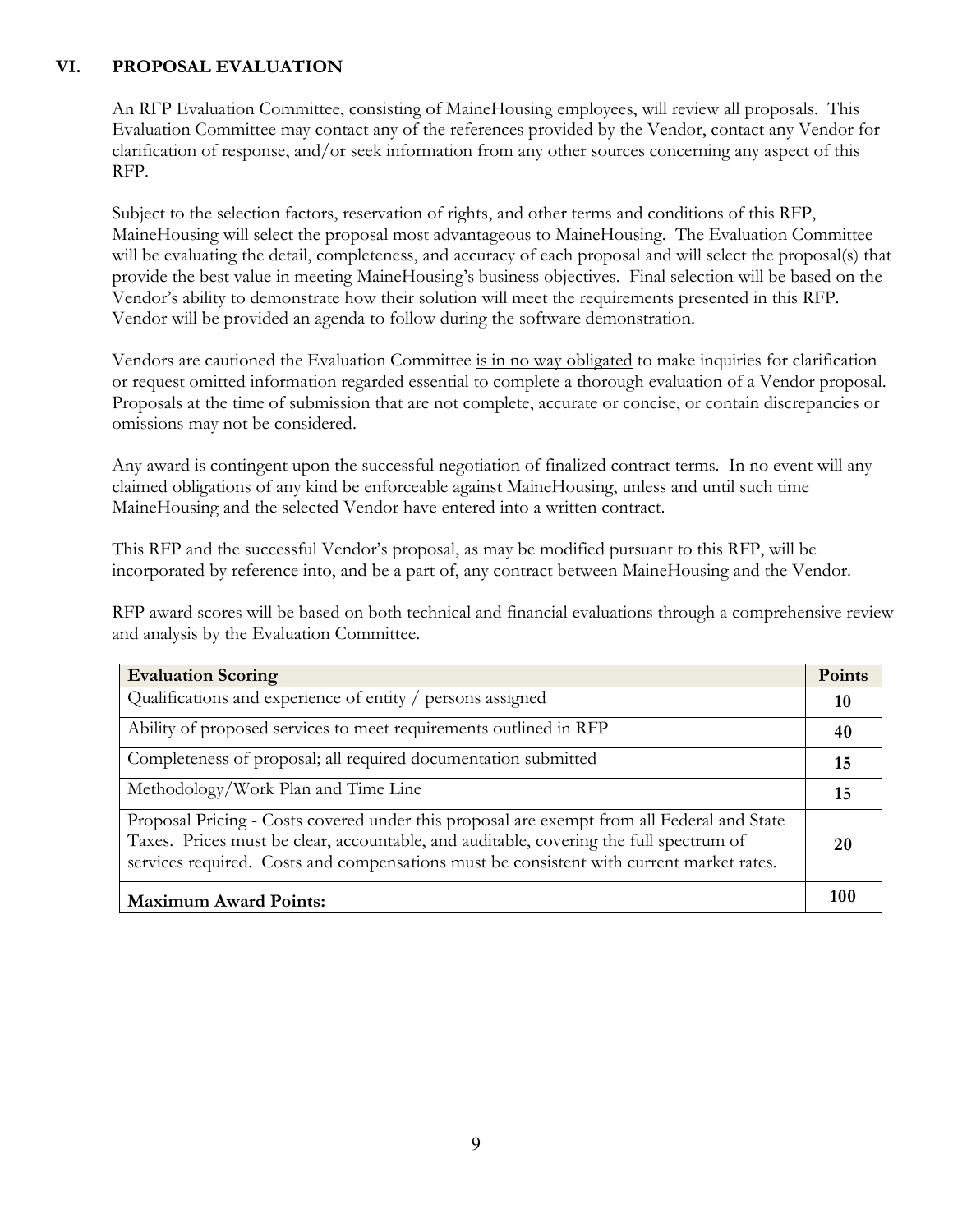# **VI. PROPOSAL EVALUATION**

An RFP Evaluation Committee, consisting of MaineHousing employees, will review all proposals. This Evaluation Committee may contact any of the references provided by the Vendor, contact any Vendor for clarification of response, and/or seek information from any other sources concerning any aspect of this RFP.

Subject to the selection factors, reservation of rights, and other terms and conditions of this RFP, MaineHousing will select the proposal most advantageous to MaineHousing. The Evaluation Committee will be evaluating the detail, completeness, and accuracy of each proposal and will select the proposal(s) that provide the best value in meeting MaineHousing's business objectives. Final selection will be based on the Vendor's ability to demonstrate how their solution will meet the requirements presented in this RFP. Vendor will be provided an agenda to follow during the software demonstration.

Vendors are cautioned the Evaluation Committee is in no way obligated to make inquiries for clarification or request omitted information regarded essential to complete a thorough evaluation of a Vendor proposal. Proposals at the time of submission that are not complete, accurate or concise, or contain discrepancies or omissions may not be considered.

Any award is contingent upon the successful negotiation of finalized contract terms. In no event will any claimed obligations of any kind be enforceable against MaineHousing, unless and until such time MaineHousing and the selected Vendor have entered into a written contract.

This RFP and the successful Vendor's proposal, as may be modified pursuant to this RFP, will be incorporated by reference into, and be a part of, any contract between MaineHousing and the Vendor.

RFP award scores will be based on both technical and financial evaluations through a comprehensive review and analysis by the Evaluation Committee.

| <b>Evaluation Scoring</b>                                                                                                                                                                                                                                                        | <b>Points</b> |
|----------------------------------------------------------------------------------------------------------------------------------------------------------------------------------------------------------------------------------------------------------------------------------|---------------|
| Qualifications and experience of entity / persons assigned                                                                                                                                                                                                                       | <b>10</b>     |
| Ability of proposed services to meet requirements outlined in RFP                                                                                                                                                                                                                | 40            |
| Completeness of proposal; all required documentation submitted                                                                                                                                                                                                                   | 15            |
| Methodology/Work Plan and Time Line                                                                                                                                                                                                                                              | 15            |
| Proposal Pricing - Costs covered under this proposal are exempt from all Federal and State<br>Taxes. Prices must be clear, accountable, and auditable, covering the full spectrum of<br>services required. Costs and compensations must be consistent with current market rates. | 20            |
| <b>Maximum Award Points:</b>                                                                                                                                                                                                                                                     | 100           |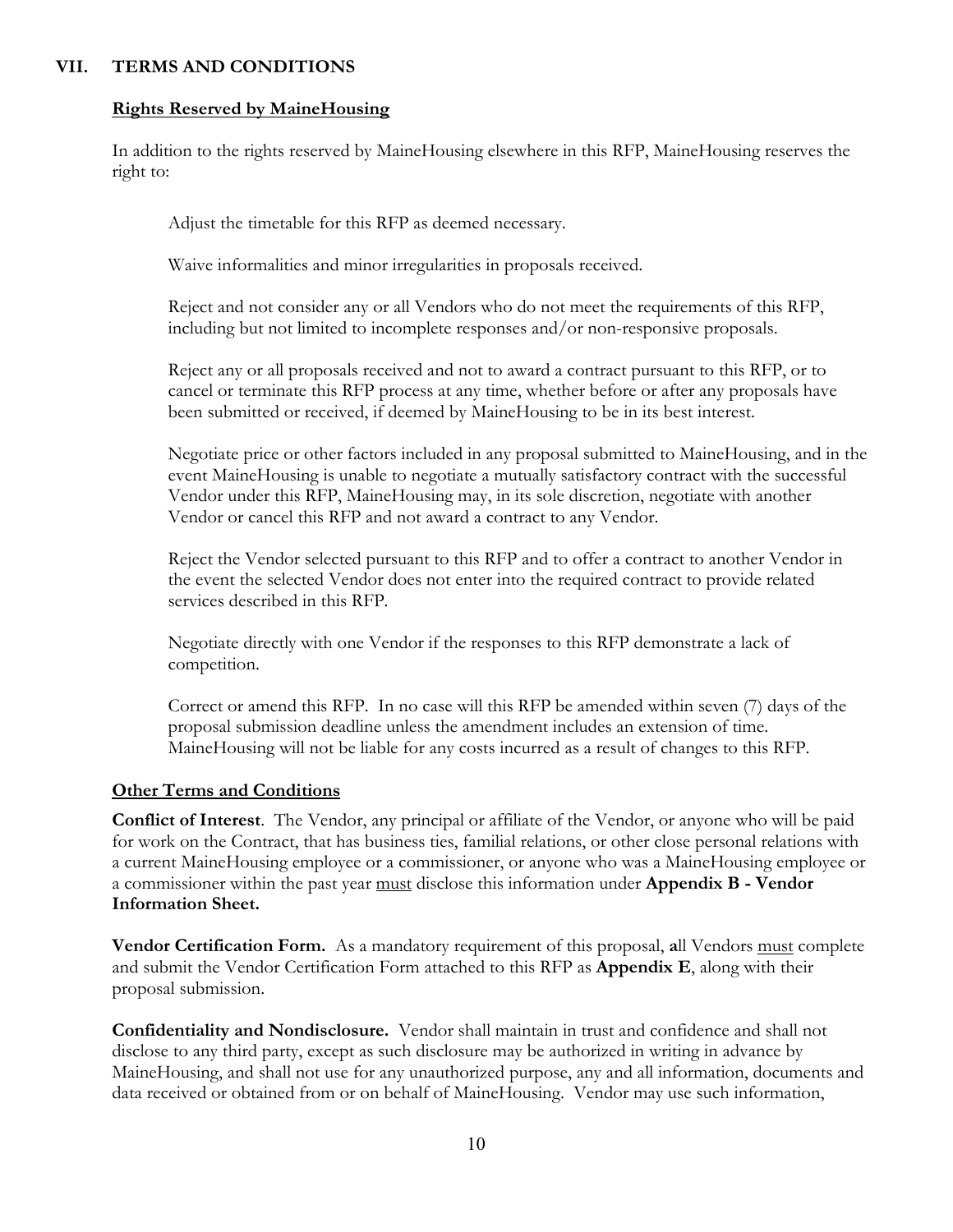# **VII. TERMS AND CONDITIONS**

#### **Rights Reserved by MaineHousing**

In addition to the rights reserved by MaineHousing elsewhere in this RFP, MaineHousing reserves the right to:

Adjust the timetable for this RFP as deemed necessary.

Waive informalities and minor irregularities in proposals received.

Reject and not consider any or all Vendors who do not meet the requirements of this RFP, including but not limited to incomplete responses and/or non-responsive proposals.

Reject any or all proposals received and not to award a contract pursuant to this RFP, or to cancel or terminate this RFP process at any time, whether before or after any proposals have been submitted or received, if deemed by MaineHousing to be in its best interest.

Negotiate price or other factors included in any proposal submitted to MaineHousing, and in the event MaineHousing is unable to negotiate a mutually satisfactory contract with the successful Vendor under this RFP, MaineHousing may, in its sole discretion, negotiate with another Vendor or cancel this RFP and not award a contract to any Vendor.

Reject the Vendor selected pursuant to this RFP and to offer a contract to another Vendor in the event the selected Vendor does not enter into the required contract to provide related services described in this RFP.

Negotiate directly with one Vendor if the responses to this RFP demonstrate a lack of competition.

Correct or amend this RFP. In no case will this RFP be amended within seven (7) days of the proposal submission deadline unless the amendment includes an extension of time. MaineHousing will not be liable for any costs incurred as a result of changes to this RFP.

### **Other Terms and Conditions**

**Conflict of Interest**. The Vendor, any principal or affiliate of the Vendor, or anyone who will be paid for work on the Contract, that has business ties, familial relations, or other close personal relations with a current MaineHousing employee or a commissioner, or anyone who was a MaineHousing employee or a commissioner within the past year must disclose this information under **Appendix B - Vendor Information Sheet.**

**Vendor Certification Form.** As a mandatory requirement of this proposal, **a**ll Vendors must complete and submit the Vendor Certification Form attached to this RFP as **Appendix E**, along with their proposal submission.

**Confidentiality and Nondisclosure.** Vendor shall maintain in trust and confidence and shall not disclose to any third party, except as such disclosure may be authorized in writing in advance by MaineHousing, and shall not use for any unauthorized purpose, any and all information, documents and data received or obtained from or on behalf of MaineHousing. Vendor may use such information,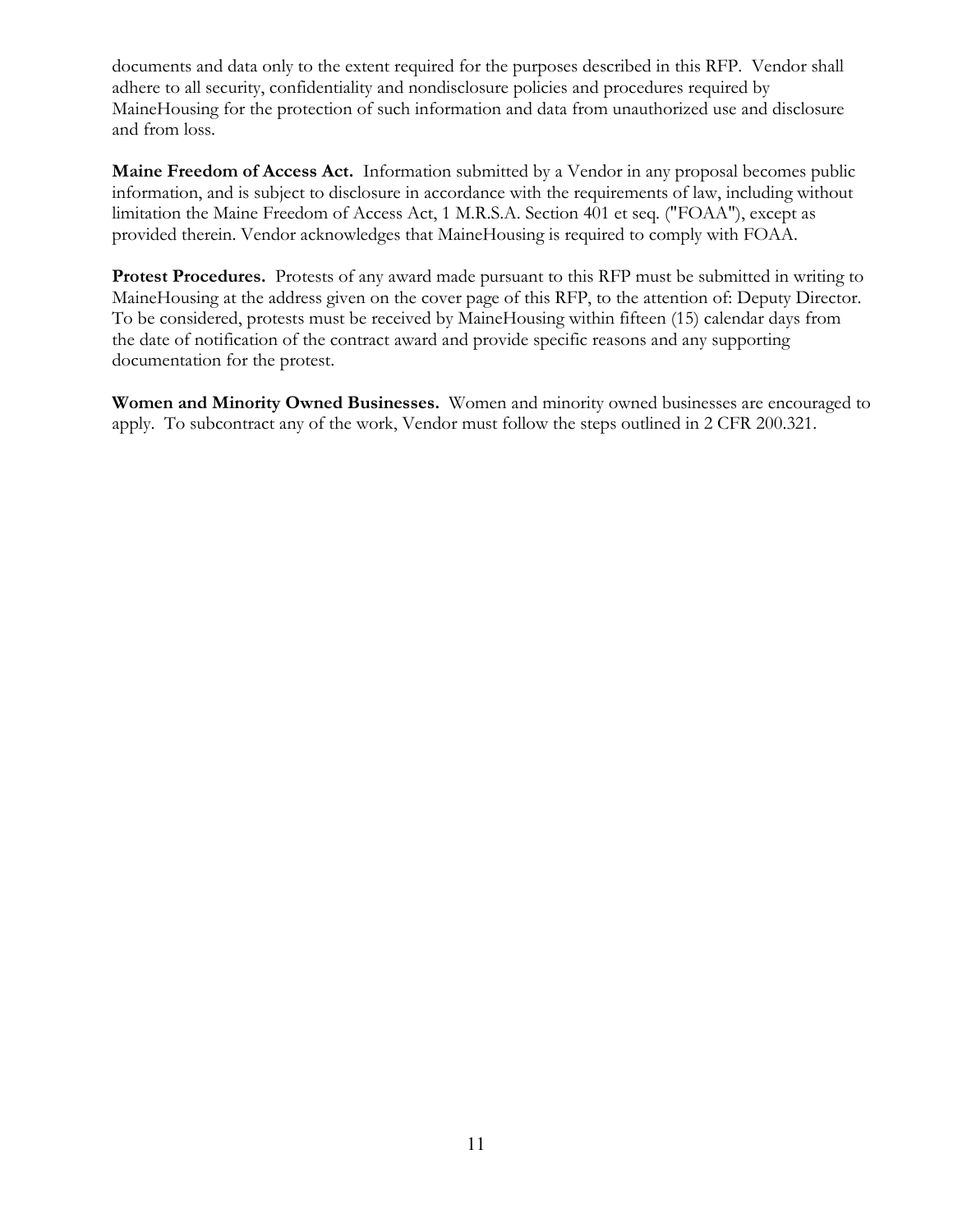documents and data only to the extent required for the purposes described in this RFP. Vendor shall adhere to all security, confidentiality and nondisclosure policies and procedures required by MaineHousing for the protection of such information and data from unauthorized use and disclosure and from loss.

**Maine Freedom of Access Act.** Information submitted by a Vendor in any proposal becomes public information, and is subject to disclosure in accordance with the requirements of law, including without limitation the Maine Freedom of Access Act, 1 M.R.S.A. Section 401 et seq. ("FOAA"), except as provided therein. Vendor acknowledges that MaineHousing is required to comply with FOAA.

**Protest Procedures.** Protests of any award made pursuant to this RFP must be submitted in writing to MaineHousing at the address given on the cover page of this RFP, to the attention of: Deputy Director. To be considered, protests must be received by MaineHousing within fifteen (15) calendar days from the date of notification of the contract award and provide specific reasons and any supporting documentation for the protest.

**Women and Minority Owned Businesses.** Women and minority owned businesses are encouraged to apply. To subcontract any of the work, Vendor must follow the steps outlined in 2 CFR 200.321.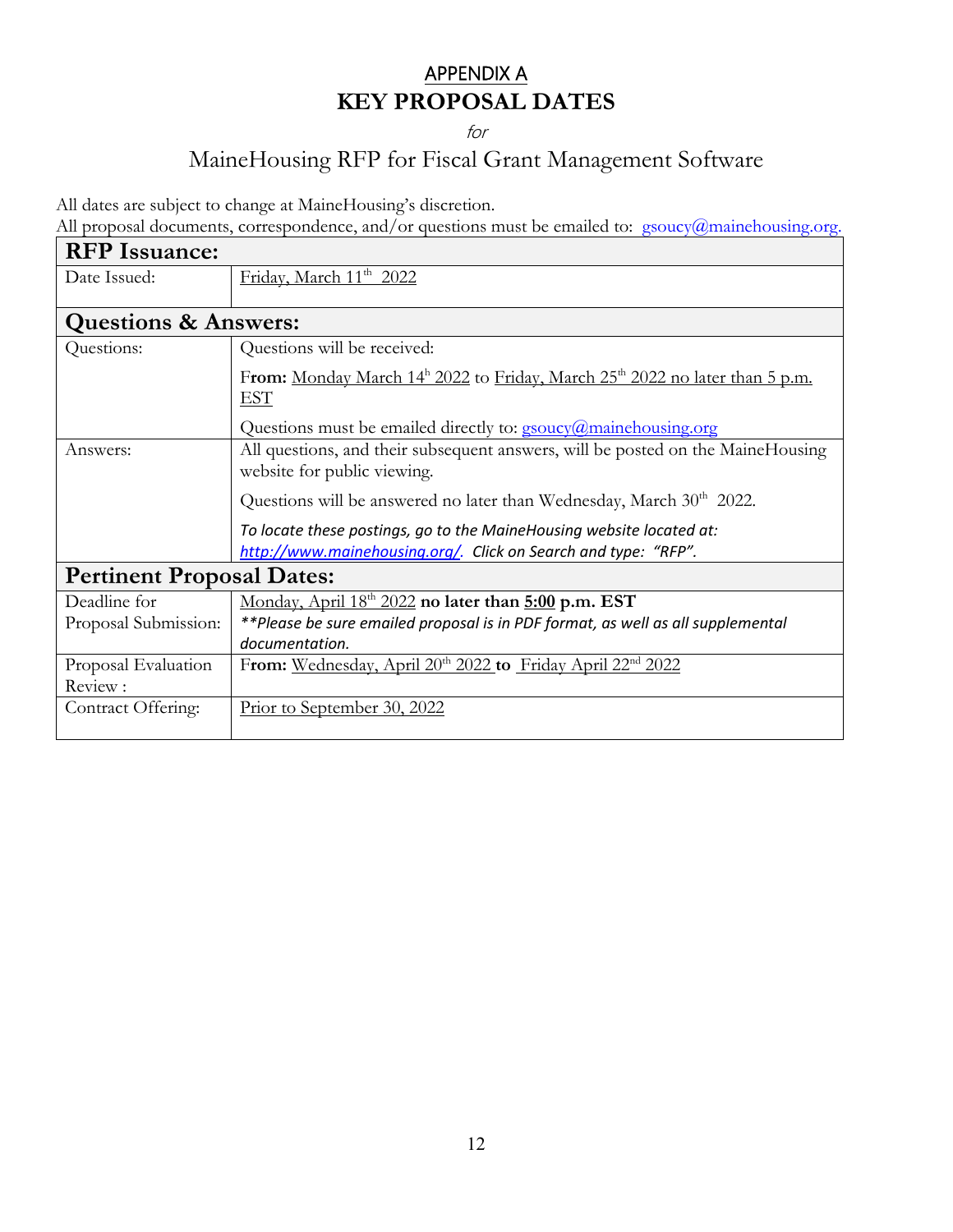# APPENDIX A **KEY PROPOSAL DATES**

for

# MaineHousing RFP for Fiscal Grant Management Software

All dates are subject to change at MaineHousing's discretion.

All proposal documents, correspondence, and/or questions must be emailed to: gsoucy@mainehousing.org.

| <b>RFP</b> Issuance:             |                                                                                                                 |  |
|----------------------------------|-----------------------------------------------------------------------------------------------------------------|--|
| Date Issued:                     | Friday, March 11 <sup>th</sup> 2022                                                                             |  |
|                                  |                                                                                                                 |  |
| <b>Questions &amp; Answers:</b>  |                                                                                                                 |  |
| Questions:                       | Questions will be received:                                                                                     |  |
|                                  | From: Monday March 14 <sup>h</sup> 2022 to Friday, March 25 <sup>th</sup> 2022 no later than 5 p.m.             |  |
|                                  | EST                                                                                                             |  |
|                                  | Questions must be emailed directly to: $g_{\text{source}}(a)$ mainehousing.org                                  |  |
| Answers:                         | All questions, and their subsequent answers, will be posted on the Maine Housing<br>website for public viewing. |  |
|                                  | Questions will be answered no later than Wednesday, March $30th$ 2022.                                          |  |
|                                  | To locate these postings, go to the MaineHousing website located at:                                            |  |
|                                  | http://www.mainehousing.org/. Click on Search and type: "RFP".                                                  |  |
| <b>Pertinent Proposal Dates:</b> |                                                                                                                 |  |
| Deadline for                     | Monday, April 18 <sup>th</sup> 2022 no later than 5:00 p.m. EST                                                 |  |
| Proposal Submission:             | **Please be sure emailed proposal is in PDF format, as well as all supplemental                                 |  |
|                                  | documentation.                                                                                                  |  |
| Proposal Evaluation              | From: Wednesday, April 20 <sup>th</sup> 2022 to Friday April 22 <sup>nd</sup> 2022                              |  |
| Review:                          |                                                                                                                 |  |
| Contract Offering:               | Prior to September 30, 2022                                                                                     |  |
|                                  |                                                                                                                 |  |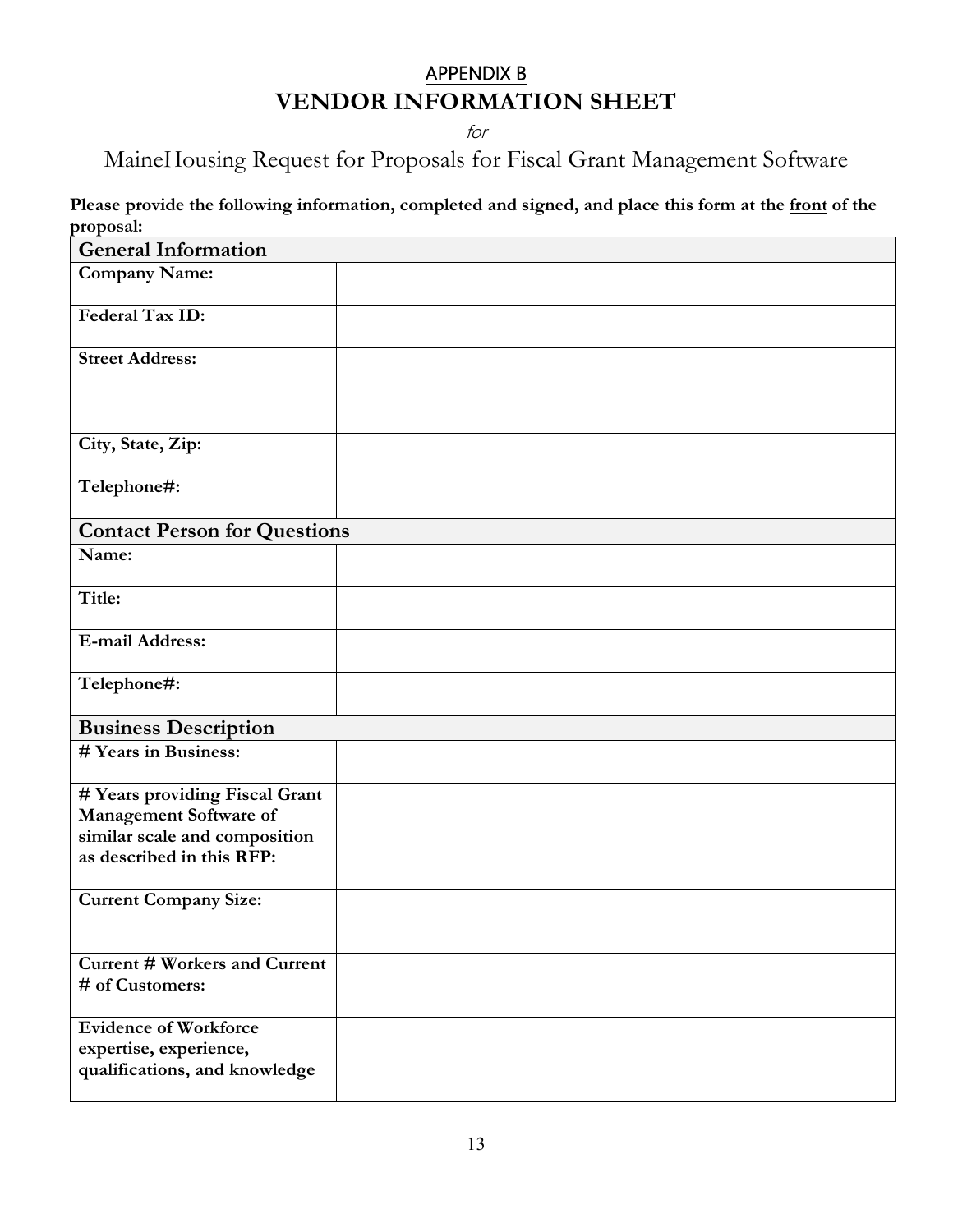# APPENDIX B **VENDOR INFORMATION SHEET**

for

MaineHousing Request for Proposals for Fiscal Grant Management Software

 **Please provide the following information, completed and signed, and place this form at the front of the proposal:**

| <b>General Information</b>                                                                                             |  |
|------------------------------------------------------------------------------------------------------------------------|--|
| <b>Company Name:</b>                                                                                                   |  |
| Federal Tax ID:                                                                                                        |  |
| <b>Street Address:</b>                                                                                                 |  |
| City, State, Zip:                                                                                                      |  |
| Telephone#:                                                                                                            |  |
| <b>Contact Person for Questions</b>                                                                                    |  |
| Name:                                                                                                                  |  |
| Title:                                                                                                                 |  |
| <b>E-mail Address:</b>                                                                                                 |  |
| Telephone#:                                                                                                            |  |
| <b>Business Description</b>                                                                                            |  |
| # Years in Business:                                                                                                   |  |
| # Years providing Fiscal Grant<br>Management Software of<br>similar scale and composition<br>as described in this RFP: |  |
| <b>Current Company Size:</b>                                                                                           |  |
| <b>Current # Workers and Current</b><br># of Customers:                                                                |  |
| <b>Evidence of Workforce</b><br>expertise, experience,<br>qualifications, and knowledge                                |  |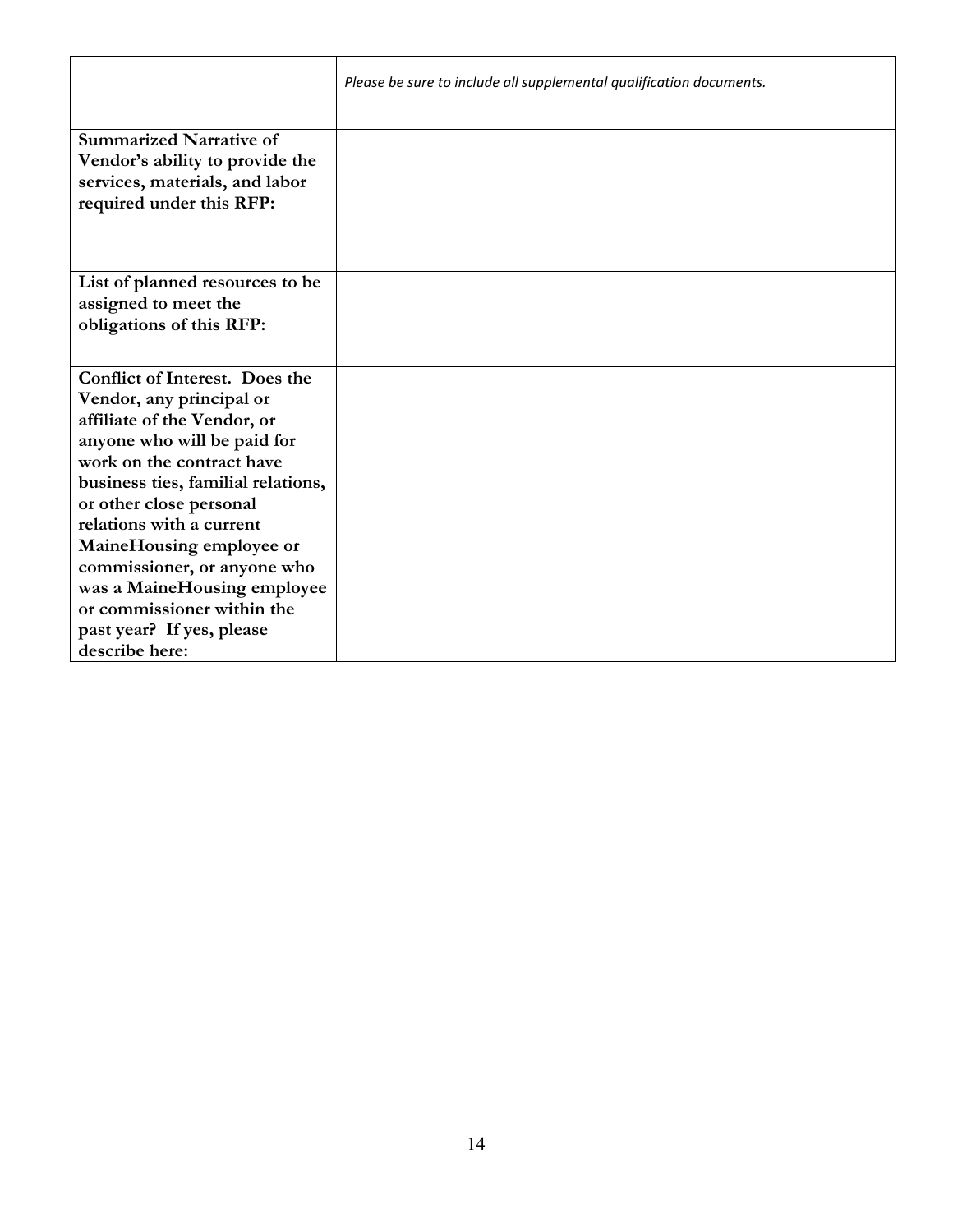|                                                                                                                                                                                                                                                                                                                                                                                                                                  | Please be sure to include all supplemental qualification documents. |
|----------------------------------------------------------------------------------------------------------------------------------------------------------------------------------------------------------------------------------------------------------------------------------------------------------------------------------------------------------------------------------------------------------------------------------|---------------------------------------------------------------------|
| <b>Summarized Narrative of</b><br>Vendor's ability to provide the<br>services, materials, and labor<br>required under this RFP:                                                                                                                                                                                                                                                                                                  |                                                                     |
| List of planned resources to be<br>assigned to meet the<br>obligations of this RFP:                                                                                                                                                                                                                                                                                                                                              |                                                                     |
| <b>Conflict of Interest. Does the</b><br>Vendor, any principal or<br>affiliate of the Vendor, or<br>anyone who will be paid for<br>work on the contract have<br>business ties, familial relations,<br>or other close personal<br>relations with a current<br>MaineHousing employee or<br>commissioner, or anyone who<br>was a MaineHousing employee<br>or commissioner within the<br>past year? If yes, please<br>describe here: |                                                                     |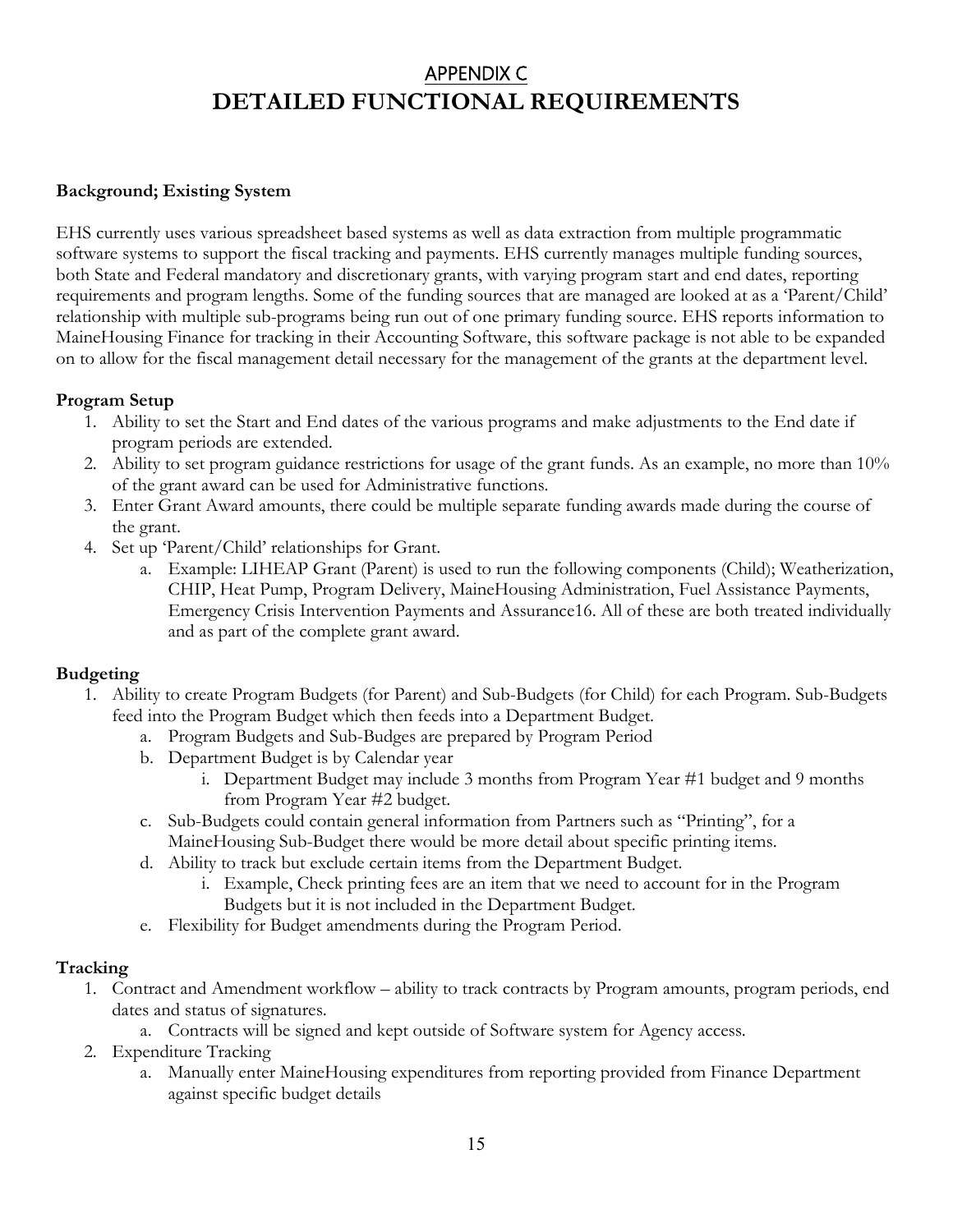# APPENDIX C **DETAILED FUNCTIONAL REQUIREMENTS**

# **Background; Existing System**

EHS currently uses various spreadsheet based systems as well as data extraction from multiple programmatic software systems to support the fiscal tracking and payments. EHS currently manages multiple funding sources, both State and Federal mandatory and discretionary grants, with varying program start and end dates, reporting requirements and program lengths. Some of the funding sources that are managed are looked at as a 'Parent/Child' relationship with multiple sub-programs being run out of one primary funding source. EHS reports information to MaineHousing Finance for tracking in their Accounting Software, this software package is not able to be expanded on to allow for the fiscal management detail necessary for the management of the grants at the department level.

# **Program Setup**

- 1. Ability to set the Start and End dates of the various programs and make adjustments to the End date if program periods are extended.
- 2. Ability to set program guidance restrictions for usage of the grant funds. As an example, no more than 10% of the grant award can be used for Administrative functions.
- 3. Enter Grant Award amounts, there could be multiple separate funding awards made during the course of the grant.
- 4. Set up 'Parent/Child' relationships for Grant.
	- a. Example: LIHEAP Grant (Parent) is used to run the following components (Child); Weatherization, CHIP, Heat Pump, Program Delivery, MaineHousing Administration, Fuel Assistance Payments, Emergency Crisis Intervention Payments and Assurance16. All of these are both treated individually and as part of the complete grant award.

### **Budgeting**

- 1. Ability to create Program Budgets (for Parent) and Sub-Budgets (for Child) for each Program. Sub-Budgets feed into the Program Budget which then feeds into a Department Budget.
	- a. Program Budgets and Sub-Budges are prepared by Program Period
	- b. Department Budget is by Calendar year
		- i. Department Budget may include 3 months from Program Year #1 budget and 9 months from Program Year #2 budget.
	- c. Sub-Budgets could contain general information from Partners such as "Printing", for a MaineHousing Sub-Budget there would be more detail about specific printing items.
	- d. Ability to track but exclude certain items from the Department Budget.
		- i. Example, Check printing fees are an item that we need to account for in the Program Budgets but it is not included in the Department Budget.
	- e. Flexibility for Budget amendments during the Program Period.

# **Tracking**

- 1. Contract and Amendment workflow ability to track contracts by Program amounts, program periods, end dates and status of signatures.
	- a. Contracts will be signed and kept outside of Software system for Agency access.
- 2. Expenditure Tracking
	- a. Manually enter MaineHousing expenditures from reporting provided from Finance Department against specific budget details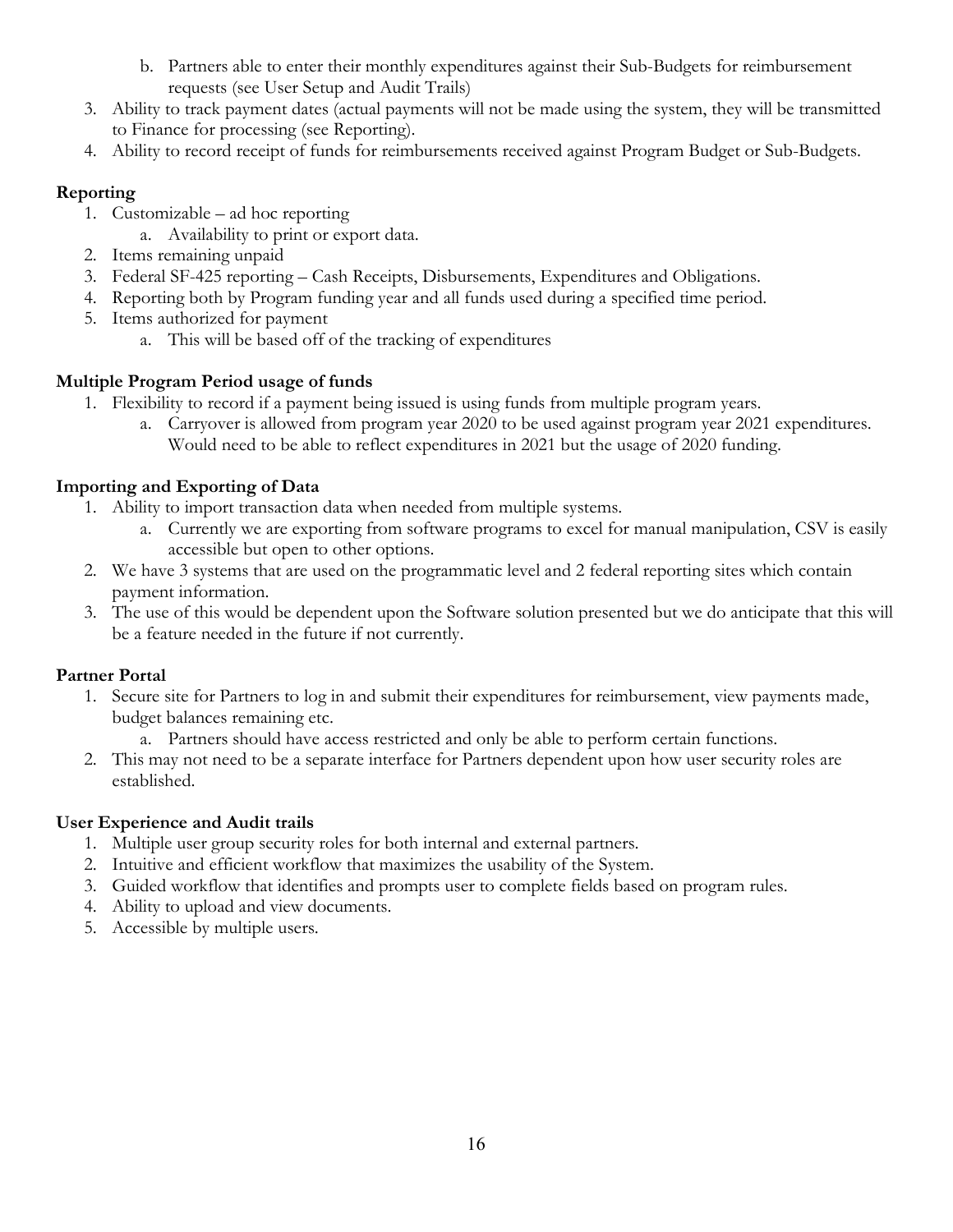- b. Partners able to enter their monthly expenditures against their Sub-Budgets for reimbursement requests (see User Setup and Audit Trails)
- 3. Ability to track payment dates (actual payments will not be made using the system, they will be transmitted to Finance for processing (see Reporting).
- 4. Ability to record receipt of funds for reimbursements received against Program Budget or Sub-Budgets.

# **Reporting**

- 1. Customizable ad hoc reporting
	- a. Availability to print or export data.
- 2. Items remaining unpaid
- 3. Federal SF-425 reporting Cash Receipts, Disbursements, Expenditures and Obligations.
- 4. Reporting both by Program funding year and all funds used during a specified time period.
- 5. Items authorized for payment
	- a. This will be based off of the tracking of expenditures

# **Multiple Program Period usage of funds**

- 1. Flexibility to record if a payment being issued is using funds from multiple program years.
	- a. Carryover is allowed from program year 2020 to be used against program year 2021 expenditures. Would need to be able to reflect expenditures in 2021 but the usage of 2020 funding.

# **Importing and Exporting of Data**

- 1. Ability to import transaction data when needed from multiple systems.
	- a. Currently we are exporting from software programs to excel for manual manipulation, CSV is easily accessible but open to other options.
- 2. We have 3 systems that are used on the programmatic level and 2 federal reporting sites which contain payment information.
- 3. The use of this would be dependent upon the Software solution presented but we do anticipate that this will be a feature needed in the future if not currently.

# **Partner Portal**

1. Secure site for Partners to log in and submit their expenditures for reimbursement, view payments made, budget balances remaining etc.

a. Partners should have access restricted and only be able to perform certain functions.

2. This may not need to be a separate interface for Partners dependent upon how user security roles are established.

# **User Experience and Audit trails**

- 1. Multiple user group security roles for both internal and external partners.
- 2. Intuitive and efficient workflow that maximizes the usability of the System.
- 3. Guided workflow that identifies and prompts user to complete fields based on program rules.
- 4. Ability to upload and view documents.
- 5. Accessible by multiple users.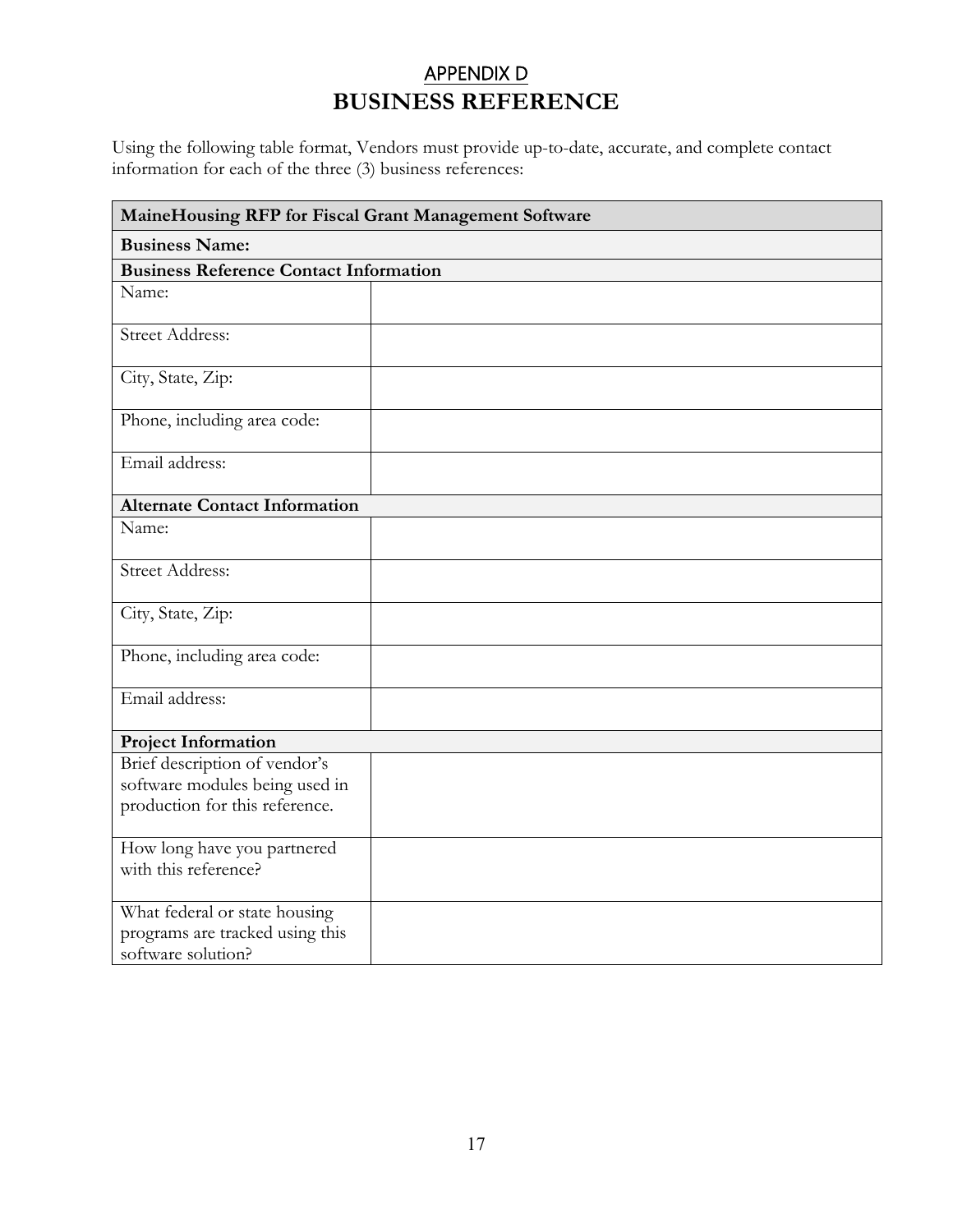# APPENDIX D **BUSINESS REFERENCE**

Using the following table format, Vendors must provide up-to-date, accurate, and complete contact information for each of the three (3) business references:

| MaineHousing RFP for Fiscal Grant Management Software |  |
|-------------------------------------------------------|--|
| <b>Business Name:</b>                                 |  |
| <b>Business Reference Contact Information</b>         |  |
| Name:                                                 |  |
| <b>Street Address:</b>                                |  |
| City, State, Zip:                                     |  |
| Phone, including area code:                           |  |
| Email address:                                        |  |
| <b>Alternate Contact Information</b>                  |  |
| Name:                                                 |  |
| <b>Street Address:</b>                                |  |
| City, State, Zip:                                     |  |
| Phone, including area code:                           |  |
| Email address:                                        |  |
| <b>Project Information</b>                            |  |
| Brief description of vendor's                         |  |
| software modules being used in                        |  |
| production for this reference.                        |  |
| How long have you partnered<br>with this reference?   |  |
| What federal or state housing                         |  |
| programs are tracked using this<br>software solution? |  |